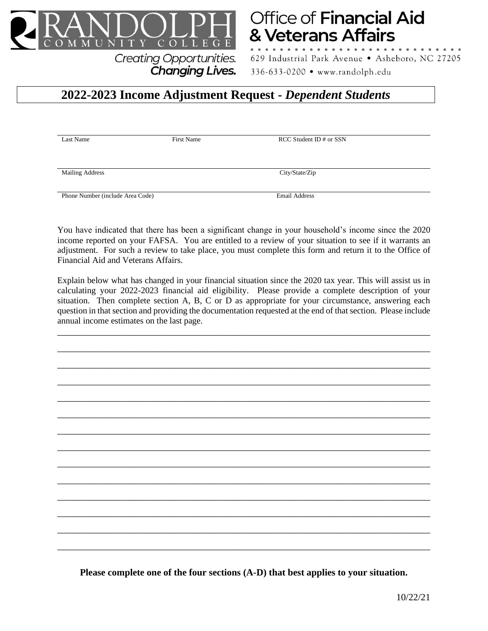

# **Office of Financial Aid** & Veterans Affairs

629 Industrial Park Avenue • Asheboro, NC 27205 336-633-0200 • www.randolph.edu

## **2022-2023 Income Adjustment Request -** *Dependent Students*

**Changing Lives.** 

| Last Name              | First Name | RCC Student ID # or SSN |
|------------------------|------------|-------------------------|
|                        |            |                         |
| <b>Mailing Address</b> |            | City/State/Zip          |

Phone Number (include Area Code) Email Address

You have indicated that there has been a significant change in your household's income since the 2020 income reported on your FAFSA. You are entitled to a review of your situation to see if it warrants an adjustment. For such a review to take place, you must complete this form and return it to the Office of Financial Aid and Veterans Affairs.

Explain below what has changed in your financial situation since the 2020 tax year. This will assist us in calculating your 2022-2023 financial aid eligibility. Please provide a complete description of your situation. Then complete section A, B, C or D as appropriate for your circumstance, answering each question in that section and providing the documentation requested at the end of that section. Please include annual income estimates on the last page.

\_\_\_\_\_\_\_\_\_\_\_\_\_\_\_\_\_\_\_\_\_\_\_\_\_\_\_\_\_\_\_\_\_\_\_\_\_\_\_\_\_\_\_\_\_\_\_\_\_\_\_\_\_\_\_\_\_\_\_\_\_\_\_\_\_\_\_\_\_\_\_\_\_\_\_\_\_\_

\_\_\_\_\_\_\_\_\_\_\_\_\_\_\_\_\_\_\_\_\_\_\_\_\_\_\_\_\_\_\_\_\_\_\_\_\_\_\_\_\_\_\_\_\_\_\_\_\_\_\_\_\_\_\_\_\_\_\_\_\_\_\_\_\_\_\_\_\_\_\_\_\_\_\_\_\_\_

\_\_\_\_\_\_\_\_\_\_\_\_\_\_\_\_\_\_\_\_\_\_\_\_\_\_\_\_\_\_\_\_\_\_\_\_\_\_\_\_\_\_\_\_\_\_\_\_\_\_\_\_\_\_\_\_\_\_\_\_\_\_\_\_\_\_\_\_\_\_\_\_\_\_\_\_\_\_

\_\_\_\_\_\_\_\_\_\_\_\_\_\_\_\_\_\_\_\_\_\_\_\_\_\_\_\_\_\_\_\_\_\_\_\_\_\_\_\_\_\_\_\_\_\_\_\_\_\_\_\_\_\_\_\_\_\_\_\_\_\_\_\_\_\_\_\_\_\_\_\_\_\_\_\_\_\_

\_\_\_\_\_\_\_\_\_\_\_\_\_\_\_\_\_\_\_\_\_\_\_\_\_\_\_\_\_\_\_\_\_\_\_\_\_\_\_\_\_\_\_\_\_\_\_\_\_\_\_\_\_\_\_\_\_\_\_\_\_\_\_\_\_\_\_\_\_\_\_\_\_\_\_\_\_\_

\_\_\_\_\_\_\_\_\_\_\_\_\_\_\_\_\_\_\_\_\_\_\_\_\_\_\_\_\_\_\_\_\_\_\_\_\_\_\_\_\_\_\_\_\_\_\_\_\_\_\_\_\_\_\_\_\_\_\_\_\_\_\_\_\_\_\_\_\_\_\_\_\_\_\_\_\_\_

\_\_\_\_\_\_\_\_\_\_\_\_\_\_\_\_\_\_\_\_\_\_\_\_\_\_\_\_\_\_\_\_\_\_\_\_\_\_\_\_\_\_\_\_\_\_\_\_\_\_\_\_\_\_\_\_\_\_\_\_\_\_\_\_\_\_\_\_\_\_\_\_\_\_\_\_\_\_

\_\_\_\_\_\_\_\_\_\_\_\_\_\_\_\_\_\_\_\_\_\_\_\_\_\_\_\_\_\_\_\_\_\_\_\_\_\_\_\_\_\_\_\_\_\_\_\_\_\_\_\_\_\_\_\_\_\_\_\_\_\_\_\_\_\_\_\_\_\_\_\_\_\_\_\_\_\_

\_\_\_\_\_\_\_\_\_\_\_\_\_\_\_\_\_\_\_\_\_\_\_\_\_\_\_\_\_\_\_\_\_\_\_\_\_\_\_\_\_\_\_\_\_\_\_\_\_\_\_\_\_\_\_\_\_\_\_\_\_\_\_\_\_\_\_\_\_\_\_\_\_\_\_\_\_\_

\_\_\_\_\_\_\_\_\_\_\_\_\_\_\_\_\_\_\_\_\_\_\_\_\_\_\_\_\_\_\_\_\_\_\_\_\_\_\_\_\_\_\_\_\_\_\_\_\_\_\_\_\_\_\_\_\_\_\_\_\_\_\_\_\_\_\_\_\_\_\_\_\_\_\_\_\_\_

\_\_\_\_\_\_\_\_\_\_\_\_\_\_\_\_\_\_\_\_\_\_\_\_\_\_\_\_\_\_\_\_\_\_\_\_\_\_\_\_\_\_\_\_\_\_\_\_\_\_\_\_\_\_\_\_\_\_\_\_\_\_\_\_\_\_\_\_\_\_\_\_\_\_\_\_\_\_

\_\_\_\_\_\_\_\_\_\_\_\_\_\_\_\_\_\_\_\_\_\_\_\_\_\_\_\_\_\_\_\_\_\_\_\_\_\_\_\_\_\_\_\_\_\_\_\_\_\_\_\_\_\_\_\_\_\_\_\_\_\_\_\_\_\_\_\_\_\_\_\_\_\_\_\_\_\_

\_\_\_\_\_\_\_\_\_\_\_\_\_\_\_\_\_\_\_\_\_\_\_\_\_\_\_\_\_\_\_\_\_\_\_\_\_\_\_\_\_\_\_\_\_\_\_\_\_\_\_\_\_\_\_\_\_\_\_\_\_\_\_\_\_\_\_\_\_\_\_\_\_\_\_\_\_\_

\_\_\_\_\_\_\_\_\_\_\_\_\_\_\_\_\_\_\_\_\_\_\_\_\_\_\_\_\_\_\_\_\_\_\_\_\_\_\_\_\_\_\_\_\_\_\_\_\_\_\_\_\_\_\_\_\_\_\_\_\_\_\_\_\_\_\_\_\_\_\_\_\_\_\_\_\_\_

**Please complete one of the four sections (A-D) that best applies to your situation.**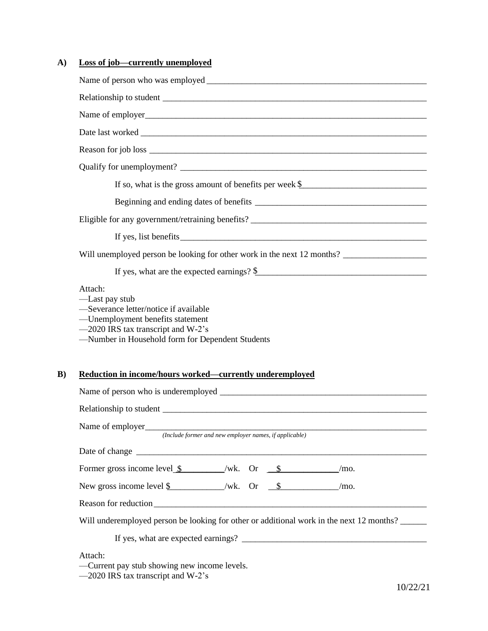### **A) Loss of job—currently unemployed**

|    | Relationship to student experience of the state of the state of the state of the state of the state of the state of the state of the state of the state of the state of the state of the state of the state of the state of th                               |  |  |  |  |
|----|--------------------------------------------------------------------------------------------------------------------------------------------------------------------------------------------------------------------------------------------------------------|--|--|--|--|
|    |                                                                                                                                                                                                                                                              |  |  |  |  |
|    |                                                                                                                                                                                                                                                              |  |  |  |  |
|    |                                                                                                                                                                                                                                                              |  |  |  |  |
|    |                                                                                                                                                                                                                                                              |  |  |  |  |
|    | If so, what is the gross amount of benefits per week $\S$                                                                                                                                                                                                    |  |  |  |  |
|    |                                                                                                                                                                                                                                                              |  |  |  |  |
|    |                                                                                                                                                                                                                                                              |  |  |  |  |
|    |                                                                                                                                                                                                                                                              |  |  |  |  |
|    | Will unemployed person be looking for other work in the next 12 months?                                                                                                                                                                                      |  |  |  |  |
|    | If yes, what are the expected earnings? $\frac{\$$                                                                                                                                                                                                           |  |  |  |  |
| B) | Attach:<br>-Last pay stub<br>-Severance letter/notice if available<br>-Unemployment benefits statement<br>-2020 IRS tax transcript and W-2's<br>-Number in Household form for Dependent Students<br>Reduction in income/hours worked—currently underemployed |  |  |  |  |
|    |                                                                                                                                                                                                                                                              |  |  |  |  |
|    |                                                                                                                                                                                                                                                              |  |  |  |  |
|    | Name of employer<br>(Include former and new employer names, if applicable)                                                                                                                                                                                   |  |  |  |  |
|    |                                                                                                                                                                                                                                                              |  |  |  |  |
|    | Former gross income level $\frac{1}{2}$ /wk. Or $\frac{1}{2}$ /mo.                                                                                                                                                                                           |  |  |  |  |
|    | New gross income level $\frac{\gamma}{2}$ /wk. Or $\frac{\gamma}{2}$ /mo.                                                                                                                                                                                    |  |  |  |  |
|    |                                                                                                                                                                                                                                                              |  |  |  |  |
|    | Will underemployed person be looking for other or additional work in the next 12 months?                                                                                                                                                                     |  |  |  |  |
|    |                                                                                                                                                                                                                                                              |  |  |  |  |
|    | Attach:<br>-Current pay stub showing new income levels.<br>-2020 IRS tax transcript and W-2's                                                                                                                                                                |  |  |  |  |

10/22/21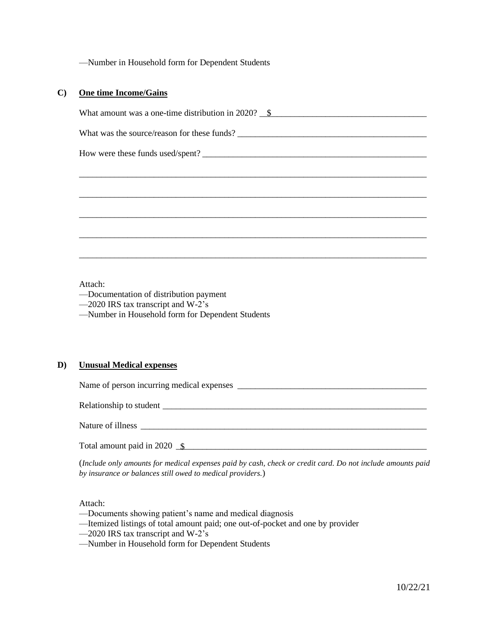—Number in Household form for Dependent Students

#### **C) One time Income/Gains**

| What amount was a one-time distribution in $2020$ ? $\frac{1}{2}$ |  |  |  |  |  |
|-------------------------------------------------------------------|--|--|--|--|--|
|                                                                   |  |  |  |  |  |
| How were these funds used/spent?                                  |  |  |  |  |  |
|                                                                   |  |  |  |  |  |
|                                                                   |  |  |  |  |  |
|                                                                   |  |  |  |  |  |
|                                                                   |  |  |  |  |  |
|                                                                   |  |  |  |  |  |
|                                                                   |  |  |  |  |  |

Attach:

- —Documentation of distribution payment
- —2020 IRS tax transcript and W-2's
- —Number in Household form for Dependent Students

#### **D) Unusual Medical expenses**

Name of person incurring medical expenses \_\_\_\_\_\_\_\_\_\_\_\_\_\_\_\_\_\_\_\_\_\_\_\_\_\_\_\_\_\_\_\_\_\_\_\_\_\_\_\_\_\_\_

Relationship to student \_\_\_\_\_\_\_\_\_\_\_\_\_\_\_\_\_\_\_\_\_\_\_\_\_\_\_\_\_\_\_\_\_\_\_\_\_\_\_\_\_\_\_\_\_\_\_\_\_\_\_\_\_\_\_\_\_\_\_\_

Nature of illness \_\_\_\_\_\_\_\_\_\_\_\_\_\_\_\_\_\_\_\_\_\_\_\_\_\_\_\_\_\_\_\_\_\_\_\_\_\_\_\_\_\_\_\_\_\_\_\_\_\_\_\_\_\_\_\_\_\_\_\_\_\_\_\_\_

Total amount paid in 2020  $\frac{1}{s}$ 

(*Include only amounts for medical expenses paid by cash, check or credit card. Do not include amounts paid by insurance or balances still owed to medical providers.*)

#### Attach:

- —Documents showing patient's name and medical diagnosis
- —Itemized listings of total amount paid; one out-of-pocket and one by provider
- —2020 IRS tax transcript and W-2's
- —Number in Household form for Dependent Students